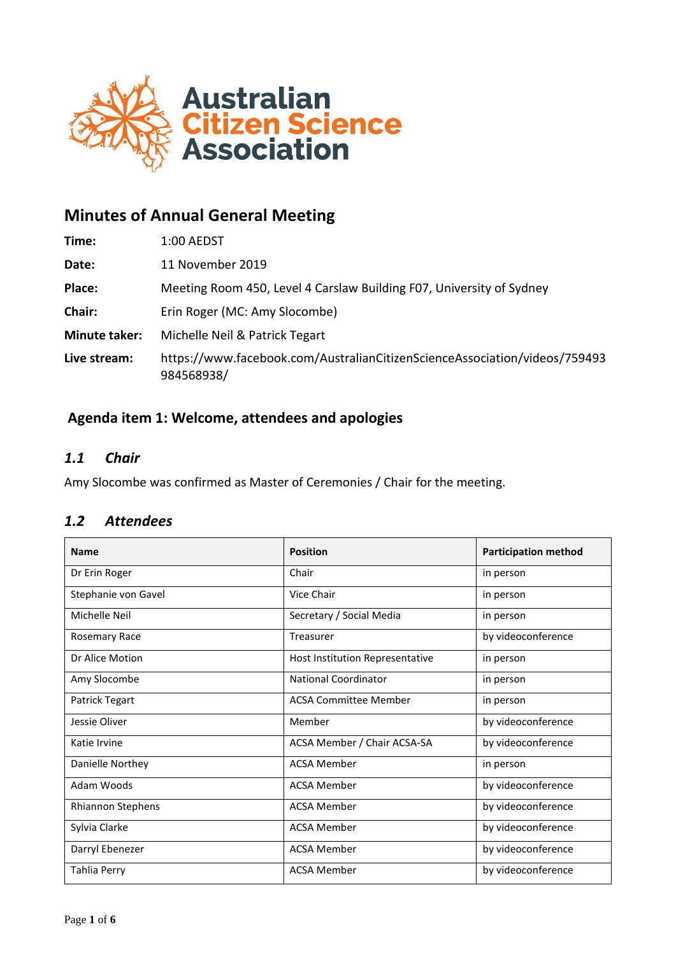

# **Minutes of Annual General Meeting**

| Time:                | 1:00 AEDST                                                                               |
|----------------------|------------------------------------------------------------------------------------------|
| Date:                | 11 November 2019                                                                         |
| Place:               | Meeting Room 450, Level 4 Carslaw Building F07, University of Sydney                     |
| Chair:               | Erin Roger (MC: Amy Slocombe)                                                            |
| <b>Minute taker:</b> | Michelle Neil & Patrick Tegart                                                           |
| Live stream:         | https://www.facebook.com/AustralianCitizenScienceAssociation/videos/759493<br>984568938/ |

## **Agenda item 1: Welcome, attendees and apologies**

## *1.1 Chair*

Amy Slocombe was confirmed as Master of Ceremonies / Chair for the meeting.

## *1.2 Attendees*

| <b>Name</b>         | <b>Position</b>                 | <b>Participation method</b> |
|---------------------|---------------------------------|-----------------------------|
| Dr Erin Roger       | Chair                           | in person                   |
| Stephanie von Gavel | Vice Chair                      | in person                   |
| Michelle Neil       | Secretary / Social Media        | in person                   |
| Rosemary Race       | Treasurer                       | by videoconference          |
| Dr Alice Motion     | Host Institution Representative | in person                   |
| Amy Slocombe        | <b>National Coordinator</b>     | in person                   |
| Patrick Tegart      | <b>ACSA Committee Member</b>    | in person                   |
| Jessie Oliver       | Member                          | by videoconference          |
| Katie Irvine        | ACSA Member / Chair ACSA-SA     | by videoconference          |
| Danielle Northey    | <b>ACSA Member</b>              | in person                   |
| Adam Woods          | <b>ACSA Member</b>              | by videoconference          |
| Rhiannon Stephens   | <b>ACSA Member</b>              | by videoconference          |
| Sylvia Clarke       | <b>ACSA Member</b>              | by videoconference          |
| Darryl Ebenezer     | <b>ACSA Member</b>              | by videoconference          |
| Tahlia Perry        | <b>ACSA Member</b>              | by videoconference          |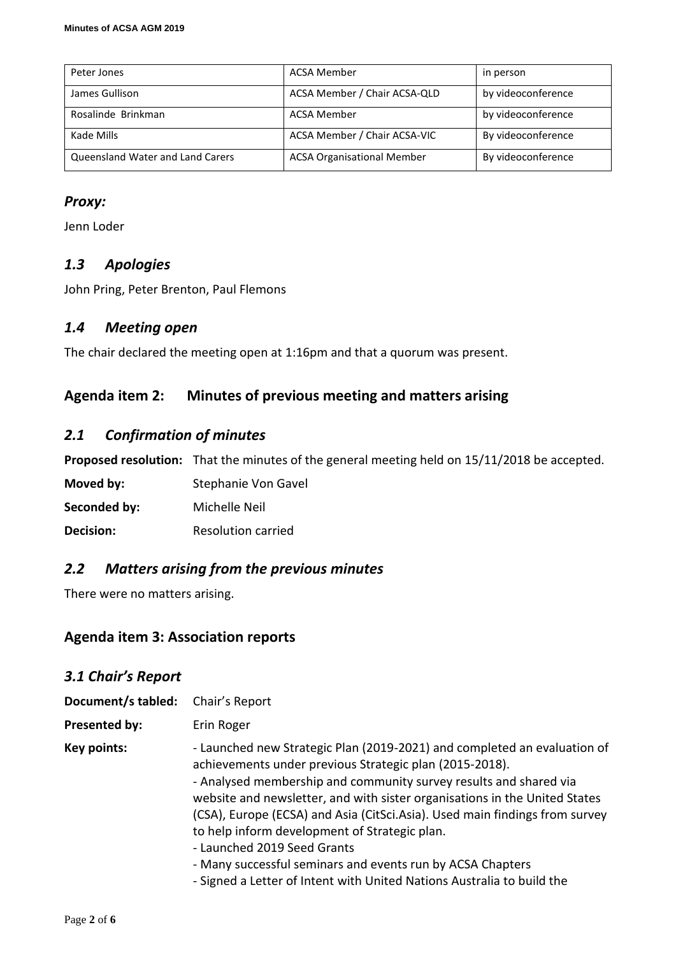| Peter Jones                      | ACSA Member                       | in person          |
|----------------------------------|-----------------------------------|--------------------|
| James Gullison                   | ACSA Member / Chair ACSA-QLD      | by videoconference |
| Rosalinde Brinkman               | <b>ACSA Member</b>                | by videoconference |
| Kade Mills                       | ACSA Member / Chair ACSA-VIC      | By videoconference |
| Queensland Water and Land Carers | <b>ACSA Organisational Member</b> | By videoconference |

## *Proxy:*

Jenn Loder

## *1.3 Apologies*

John Pring, Peter Brenton, Paul Flemons

## *1.4 Meeting open*

The chair declared the meeting open at 1:16pm and that a quorum was present.

## **Agenda item 2: Minutes of previous meeting and matters arising**

## *2.1 Confirmation of minutes*

**Proposed resolution:** That the minutes of the general meeting held on 15/11/2018 be accepted.

**Moved by:** Stephanie Von Gavel

**Seconded by:** Michelle Neil

**Decision:** Resolution carried

## *2.2 Matters arising from the previous minutes*

There were no matters arising.

## **Agenda item 3: Association reports**

| 3.1 Chair's Report   |                                                                                                                                                                                                                                                                                                                                                                                                                                                                                                                                                                                               |
|----------------------|-----------------------------------------------------------------------------------------------------------------------------------------------------------------------------------------------------------------------------------------------------------------------------------------------------------------------------------------------------------------------------------------------------------------------------------------------------------------------------------------------------------------------------------------------------------------------------------------------|
| Document/s tabled:   | Chair's Report                                                                                                                                                                                                                                                                                                                                                                                                                                                                                                                                                                                |
| <b>Presented by:</b> | Erin Roger                                                                                                                                                                                                                                                                                                                                                                                                                                                                                                                                                                                    |
| Key points:          | - Launched new Strategic Plan (2019-2021) and completed an evaluation of<br>achievements under previous Strategic plan (2015-2018).<br>- Analysed membership and community survey results and shared via<br>website and newsletter, and with sister organisations in the United States<br>(CSA), Europe (ECSA) and Asia (CitSci.Asia). Used main findings from survey<br>to help inform development of Strategic plan.<br>- Launched 2019 Seed Grants<br>- Many successful seminars and events run by ACSA Chapters<br>- Signed a Letter of Intent with United Nations Australia to build the |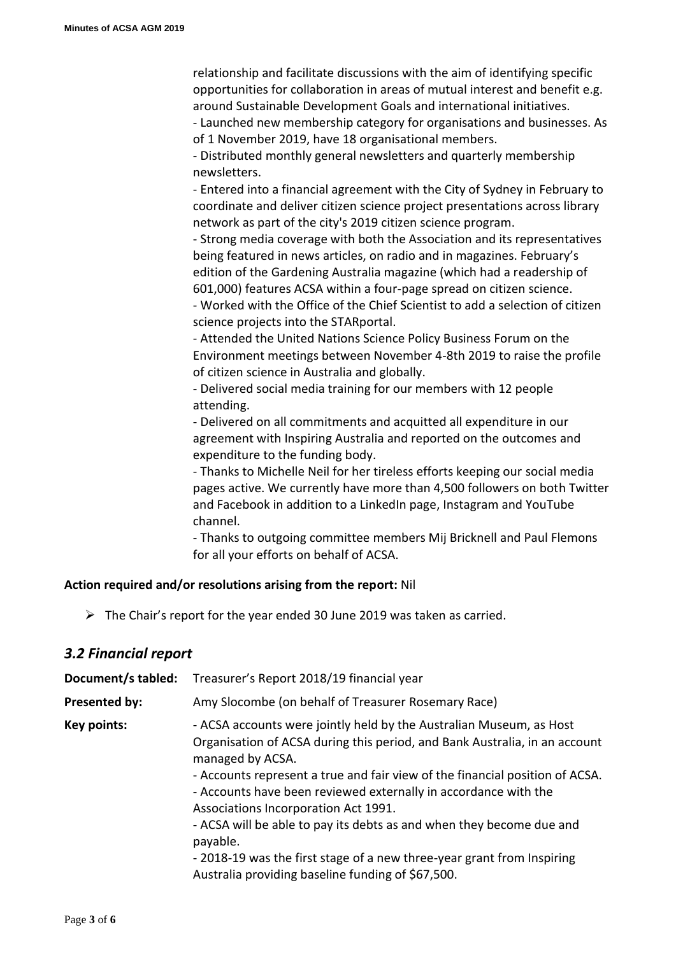relationship and facilitate discussions with the aim of identifying specific opportunities for collaboration in areas of mutual interest and benefit e.g. around Sustainable Development Goals and international initiatives.

- Launched new membership category for organisations and businesses. As of 1 November 2019, have 18 organisational members.

- Distributed monthly general newsletters and quarterly membership newsletters.

- Entered into a financial agreement with the City of Sydney in February to coordinate and deliver citizen science project presentations across library network as part of the city's 2019 citizen science program.

- Strong media coverage with both the Association and its representatives being featured in news articles, on radio and in magazines. February's edition of the Gardening Australia magazine (which had a readership of 601,000) features ACSA within a four-page spread on citizen science.

- Worked with the Office of the Chief Scientist to add a selection of citizen science projects into the STARportal.

- Attended the United Nations Science Policy Business Forum on the Environment meetings between November 4-8th 2019 to raise the profile of citizen science in Australia and globally.

- Delivered social media training for our members with 12 people attending.

- Delivered on all commitments and acquitted all expenditure in our agreement with Inspiring Australia and reported on the outcomes and expenditure to the funding body.

- Thanks to Michelle Neil for her tireless efforts keeping our social media pages active. We currently have more than 4,500 followers on both Twitter and Facebook in addition to a LinkedIn page, Instagram and YouTube channel.

- Thanks to outgoing committee members Mij Bricknell and Paul Flemons for all your efforts on behalf of ACSA.

#### **Action required and/or resolutions arising from the report:** Nil

➢ The Chair's report for the year ended 30 June 2019 was taken as carried.

## *3.2 Financial report*

| Document/s tabled:   | Treasurer's Report 2018/19 financial year                                                                                                                                                                                                                                                                                                                                                                                                                                                                                                                                           |
|----------------------|-------------------------------------------------------------------------------------------------------------------------------------------------------------------------------------------------------------------------------------------------------------------------------------------------------------------------------------------------------------------------------------------------------------------------------------------------------------------------------------------------------------------------------------------------------------------------------------|
| <b>Presented by:</b> | Amy Slocombe (on behalf of Treasurer Rosemary Race)                                                                                                                                                                                                                                                                                                                                                                                                                                                                                                                                 |
| Key points:          | - ACSA accounts were jointly held by the Australian Museum, as Host<br>Organisation of ACSA during this period, and Bank Australia, in an account<br>managed by ACSA.<br>- Accounts represent a true and fair view of the financial position of ACSA.<br>- Accounts have been reviewed externally in accordance with the<br>Associations Incorporation Act 1991.<br>- ACSA will be able to pay its debts as and when they become due and<br>payable.<br>- 2018-19 was the first stage of a new three-year grant from Inspiring<br>Australia providing baseline funding of \$67,500. |
|                      |                                                                                                                                                                                                                                                                                                                                                                                                                                                                                                                                                                                     |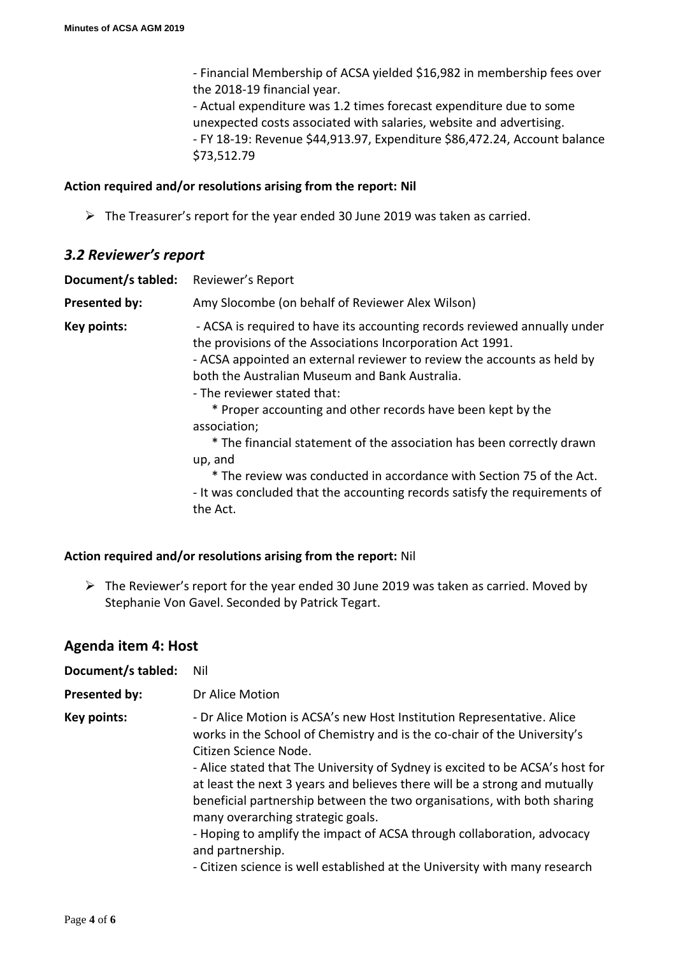- Financial Membership of ACSA yielded \$16,982 in membership fees over the 2018-19 financial year.

- Actual expenditure was 1.2 times forecast expenditure due to some unexpected costs associated with salaries, website and advertising. - FY 18-19: Revenue \$44,913.97, Expenditure \$86,472.24, Account balance \$73,512.79

#### **Action required and/or resolutions arising from the report: Nil**

➢ The Treasurer's report for the year ended 30 June 2019 was taken as carried.

### *3.2 Reviewer's report*

| Document/s tabled:   | Reviewer's Report                                                                                                                                                                                                                                                                                                                                                                                                                                                                                                                                                                                                                        |
|----------------------|------------------------------------------------------------------------------------------------------------------------------------------------------------------------------------------------------------------------------------------------------------------------------------------------------------------------------------------------------------------------------------------------------------------------------------------------------------------------------------------------------------------------------------------------------------------------------------------------------------------------------------------|
| <b>Presented by:</b> | Amy Slocombe (on behalf of Reviewer Alex Wilson)                                                                                                                                                                                                                                                                                                                                                                                                                                                                                                                                                                                         |
| Key points:          | - ACSA is required to have its accounting records reviewed annually under<br>the provisions of the Associations Incorporation Act 1991.<br>- ACSA appointed an external reviewer to review the accounts as held by<br>both the Australian Museum and Bank Australia.<br>- The reviewer stated that:<br>* Proper accounting and other records have been kept by the<br>association;<br>* The financial statement of the association has been correctly drawn<br>up, and<br>* The review was conducted in accordance with Section 75 of the Act.<br>- It was concluded that the accounting records satisfy the requirements of<br>the Act. |

#### **Action required and/or resolutions arising from the report:** Nil

 $\triangleright$  The Reviewer's report for the year ended 30 June 2019 was taken as carried. Moved by Stephanie Von Gavel. Seconded by Patrick Tegart.

## **Agenda item 4: Host**

| Document/s tabled:   | Nil                                                                                                                                                                                                                                                                                                                                                                                                                                                                                                                                                                                                                                    |
|----------------------|----------------------------------------------------------------------------------------------------------------------------------------------------------------------------------------------------------------------------------------------------------------------------------------------------------------------------------------------------------------------------------------------------------------------------------------------------------------------------------------------------------------------------------------------------------------------------------------------------------------------------------------|
| <b>Presented by:</b> | Dr Alice Motion                                                                                                                                                                                                                                                                                                                                                                                                                                                                                                                                                                                                                        |
| <b>Key points:</b>   | - Dr Alice Motion is ACSA's new Host Institution Representative. Alice<br>works in the School of Chemistry and is the co-chair of the University's<br>Citizen Science Node.<br>- Alice stated that The University of Sydney is excited to be ACSA's host for<br>at least the next 3 years and believes there will be a strong and mutually<br>beneficial partnership between the two organisations, with both sharing<br>many overarching strategic goals.<br>- Hoping to amplify the impact of ACSA through collaboration, advocacy<br>and partnership.<br>- Citizen science is well established at the University with many research |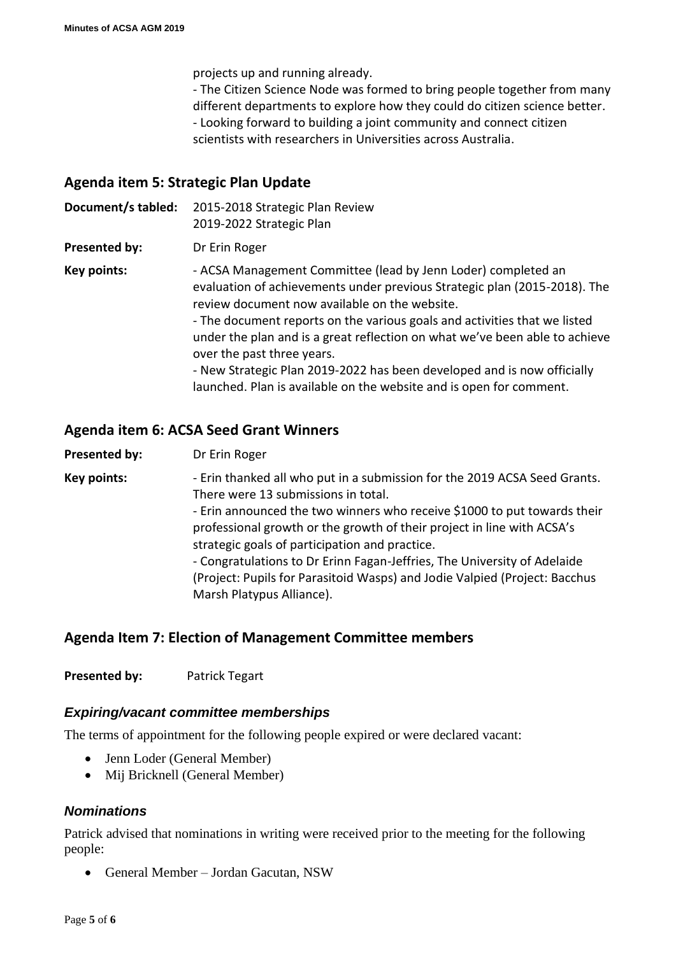projects up and running already.

- The Citizen Science Node was formed to bring people together from many different departments to explore how they could do citizen science better. - Looking forward to building a joint community and connect citizen scientists with researchers in Universities across Australia.

## **Agenda item 5: Strategic Plan Update**

**Document/s tabled:** 2015-2018 Strategic Plan Review

2019-2022 Strategic Plan

**Presented by:** Dr Erin Roger

**Key points:**  $-$  ACSA Management Committee (lead by Jenn Loder) completed an evaluation of achievements under previous Strategic plan (2015-2018). The review document now available on the website. - The document reports on the various goals and activities that we listed under the plan and is a great reflection on what we've been able to achieve over the past three years. - New Strategic Plan 2019-2022 has been developed and is now officially

launched. Plan is available on the website and is open for comment.

**Agenda item 6: ACSA Seed Grant Winners**

**Presented by:** Dr Erin Roger

**Key points:** - Erin thanked all who put in a submission for the 2019 ACSA Seed Grants. There were 13 submissions in total. - Erin announced the two winners who receive \$1000 to put towards their professional growth or the growth of their project in line with ACSA's strategic goals of participation and practice. - Congratulations to Dr Erinn Fagan-Jeffries, The University of Adelaide (Project: Pupils for Parasitoid Wasps) and Jodie Valpied (Project: Bacchus Marsh Platypus Alliance).

## **Agenda Item 7: Election of Management Committee members**

**Presented by:** Patrick Tegart

### *Expiring/vacant committee memberships*

The terms of appointment for the following people expired or were declared vacant:

- Jenn Loder (General Member)
- Mij Bricknell (General Member)

### *Nominations*

Patrick advised that nominations in writing were received prior to the meeting for the following people:

• General Member – Jordan Gacutan, NSW